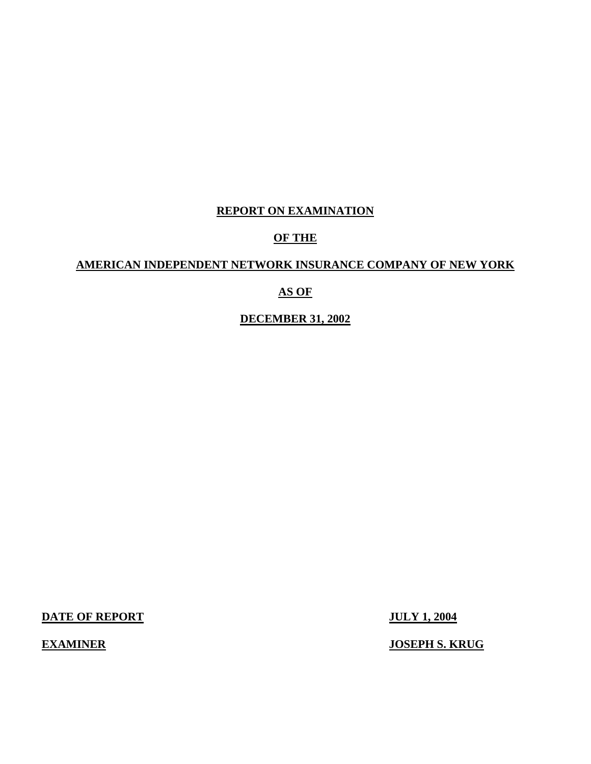# **REPORT ON EXAMINATION**

# **OF THE**

# **AMERICAN INDEPENDENT NETWORK INSURANCE COMPANY OF NEW YORK**

# **AS OF**

# **DECEMBER 31, 2002**

**DATE OF REPORT JULY 1, 2004** 

 **EXAMINER JOSEPH S. KRUG**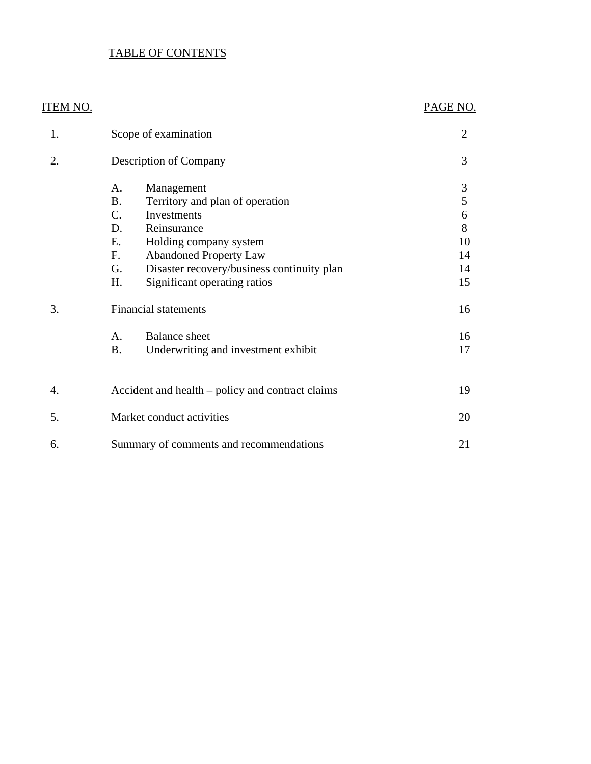# TABLE OF CONTENTS

# ITEM NO. PAGE NO.

| 1. | Scope of examination                                                                                                                                                                                                                               | $\overline{2}$                     |
|----|----------------------------------------------------------------------------------------------------------------------------------------------------------------------------------------------------------------------------------------------------|------------------------------------|
| 2. | <b>Description of Company</b>                                                                                                                                                                                                                      | 3                                  |
|    | Management<br>A.<br><b>B.</b><br>Territory and plan of operation<br>$\mathcal{C}$ .<br>Investments<br>D.<br>Reinsurance<br>Ε.<br>Holding company system<br><b>Abandoned Property Law</b><br>F.<br>G.<br>Disaster recovery/business continuity plan | 3<br>5<br>6<br>8<br>10<br>14<br>14 |
|    | Η.<br>Significant operating ratios                                                                                                                                                                                                                 | 15                                 |
| 3. | <b>Financial statements</b>                                                                                                                                                                                                                        | 16                                 |
|    | <b>Balance</b> sheet<br>A.<br><b>B.</b><br>Underwriting and investment exhibit                                                                                                                                                                     | 16<br>17                           |
| 4. | Accident and health – policy and contract claims                                                                                                                                                                                                   | 19                                 |
| 5. | Market conduct activities                                                                                                                                                                                                                          | 20                                 |
| 6. | Summary of comments and recommendations                                                                                                                                                                                                            | 21                                 |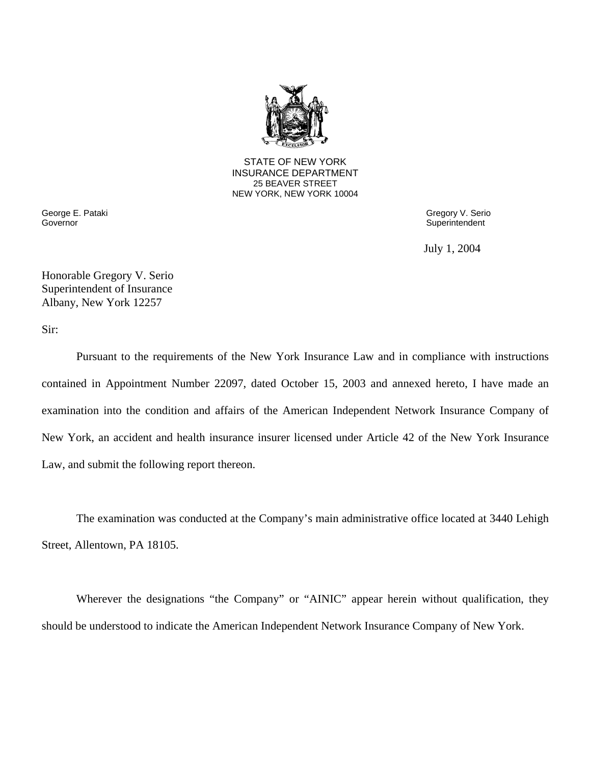

**25 BEAVER STREET** STATE OF NEW YORK INSURANCE DEPARTMENT NEW YORK, NEW YORK 10004

Governor Superintendent Superintendent Superintendent Superintendent Superintendent Superintendent

George E. Pataki Gregory V. Serio

July 1, 2004

Honorable Gregory V. Serio Superintendent of Insurance Albany, New York 12257

Sir:

Pursuant to the requirements of the New York Insurance Law and in compliance with instructions contained in Appointment Number 22097, dated October 15, 2003 and annexed hereto, I have made an examination into the condition and affairs of the American Independent Network Insurance Company of New York, an accident and health insurance insurer licensed under Article 42 of the New York Insurance Law, and submit the following report thereon.

The examination was conducted at the Company's main administrative office located at 3440 Lehigh Street, Allentown, PA 18105.

Wherever the designations "the Company" or "AINIC" appear herein without qualification, they should be understood to indicate the American Independent Network Insurance Company of New York.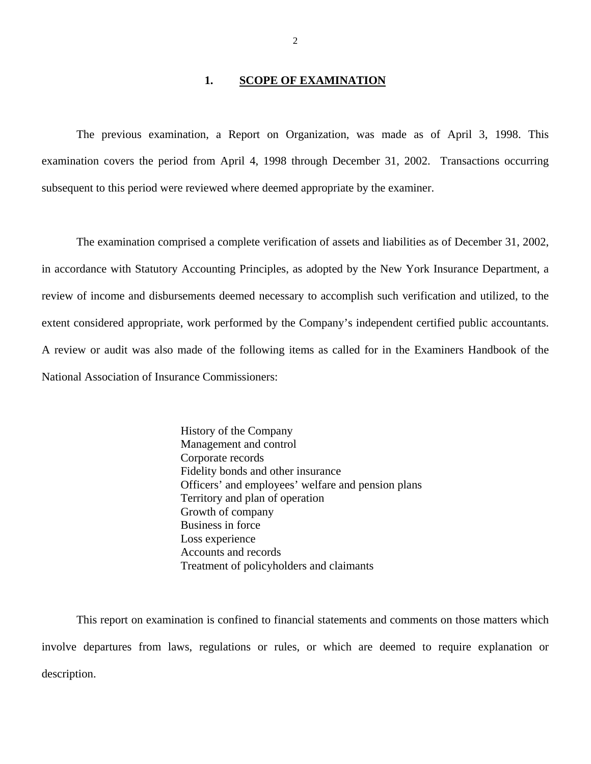#### **1. SCOPE OF EXAMINATION**

<span id="page-3-0"></span>The previous examination, a Report on Organization, was made as of April 3, 1998. This examination covers the period from April 4, 1998 through December 31, 2002. Transactions occurring subsequent to this period were reviewed where deemed appropriate by the examiner.

The examination comprised a complete verification of assets and liabilities as of December 31, 2002, in accordance with Statutory Accounting Principles, as adopted by the New York Insurance Department, a review of income and disbursements deemed necessary to accomplish such verification and utilized, to the extent considered appropriate, work performed by the Company's independent certified public accountants. A review or audit was also made of the following items as called for in the Examiners Handbook of the National Association of Insurance Commissioners:

> History of the Company Management and control Corporate records Fidelity bonds and other insurance Officers' and employees' welfare and pension plans Territory and plan of operation Growth of company Business in force Loss experience Accounts and records Treatment of policyholders and claimants

This report on examination is confined to financial statements and comments on those matters which involve departures from laws, regulations or rules, or which are deemed to require explanation or description.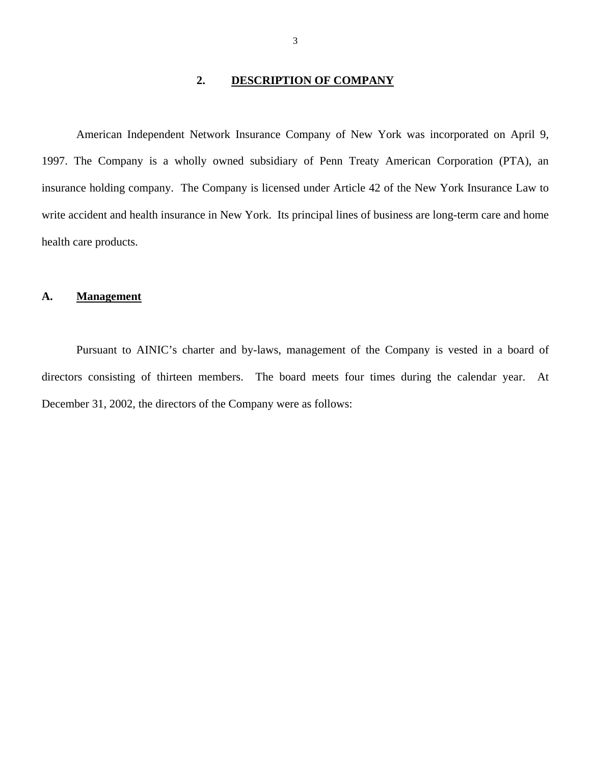# **2. DESCRIPTION OF COMPANY**

<span id="page-4-0"></span>American Independent Network Insurance Company of New York was incorporated on April 9, 1997. The Company is a wholly owned subsidiary of Penn Treaty American Corporation (PTA), an insurance holding company. The Company is licensed under Article 42 of the New York Insurance Law to write accident and health insurance in New York. Its principal lines of business are long-term care and home health care products.

#### **A. Management**

Pursuant to AINIC's charter and by-laws, management of the Company is vested in a board of directors consisting of thirteen members. The board meets four times during the calendar year. At December 31, 2002, the directors of the Company were as follows: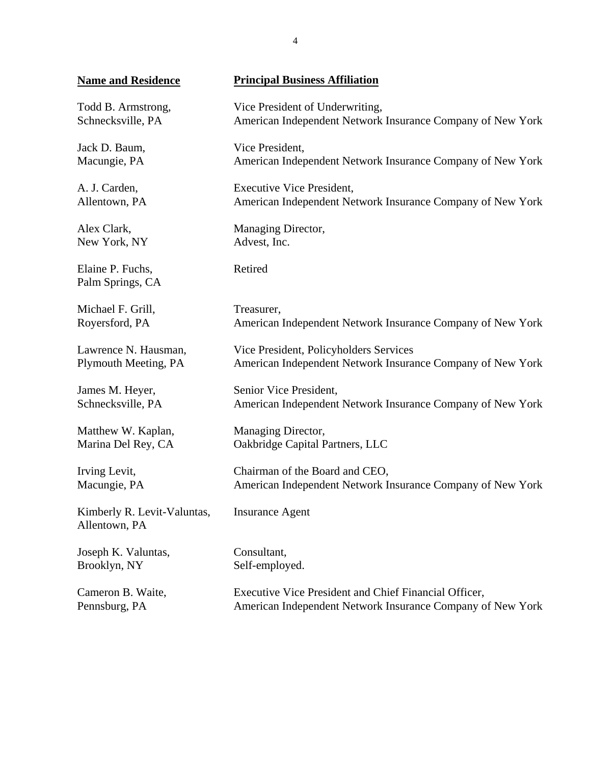| <b>Name and Residence</b>                    | <b>Principal Business Affiliation</b>                      |
|----------------------------------------------|------------------------------------------------------------|
| Todd B. Armstrong,                           | Vice President of Underwriting,                            |
| Schnecksville, PA                            | American Independent Network Insurance Company of New York |
| Jack D. Baum,                                | Vice President,                                            |
| Macungie, PA                                 | American Independent Network Insurance Company of New York |
| A. J. Carden,                                | <b>Executive Vice President,</b>                           |
| Allentown, PA                                | American Independent Network Insurance Company of New York |
| Alex Clark,                                  | Managing Director,                                         |
| New York, NY                                 | Advest, Inc.                                               |
| Elaine P. Fuchs,<br>Palm Springs, CA         | Retired                                                    |
| Michael F. Grill,                            | Treasurer,                                                 |
| Royersford, PA                               | American Independent Network Insurance Company of New York |
| Lawrence N. Hausman,                         | Vice President, Policyholders Services                     |
| Plymouth Meeting, PA                         | American Independent Network Insurance Company of New York |
| James M. Heyer,                              | Senior Vice President,                                     |
| Schnecksville, PA                            | American Independent Network Insurance Company of New York |
| Matthew W. Kaplan,                           | Managing Director,                                         |
| Marina Del Rey, CA                           | Oakbridge Capital Partners, LLC                            |
| Irving Levit,                                | Chairman of the Board and CEO,                             |
| Macungie, PA                                 | American Independent Network Insurance Company of New York |
| Kimberly R. Levit-Valuntas,<br>Allentown, PA | <b>Insurance Agent</b>                                     |
| Joseph K. Valuntas,                          | Consultant,                                                |
| Brooklyn, NY                                 | Self-employed.                                             |
| Cameron B. Waite,                            | Executive Vice President and Chief Financial Officer,      |
| Pennsburg, PA                                | American Independent Network Insurance Company of New York |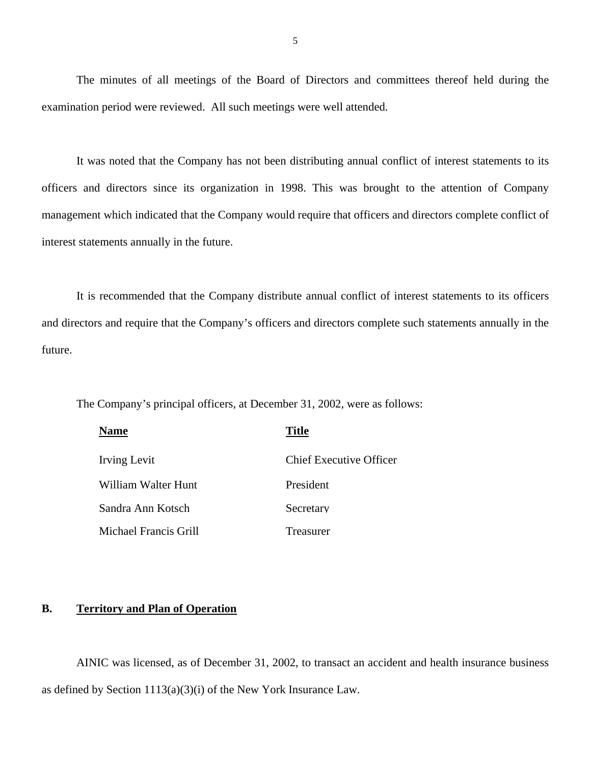<span id="page-6-0"></span>The minutes of all meetings of the Board of Directors and committees thereof held during the examination period were reviewed. All such meetings were well attended.

It was noted that the Company has not been distributing annual conflict of interest statements to its officers and directors since its organization in 1998. This was brought to the attention of Company management which indicated that the Company would require that officers and directors complete conflict of interest statements annually in the future.

It is recommended that the Company distribute annual conflict of interest statements to its officers and directors and require that the Company's officers and directors complete such statements annually in the future.

The Company's principal officers, at December 31, 2002, were as follows:

| <b>Name</b>           | <b>Title</b>            |
|-----------------------|-------------------------|
| Irving Levit          | Chief Executive Officer |
| William Walter Hunt   | President               |
| Sandra Ann Kotsch     | Secretary               |
| Michael Francis Grill | Treasurer               |

#### **B. Territory and Plan of Operation**

AINIC was licensed, as of December 31, 2002, to transact an accident and health insurance business as defined by Section 1113(a)(3)(i) of the New York Insurance Law.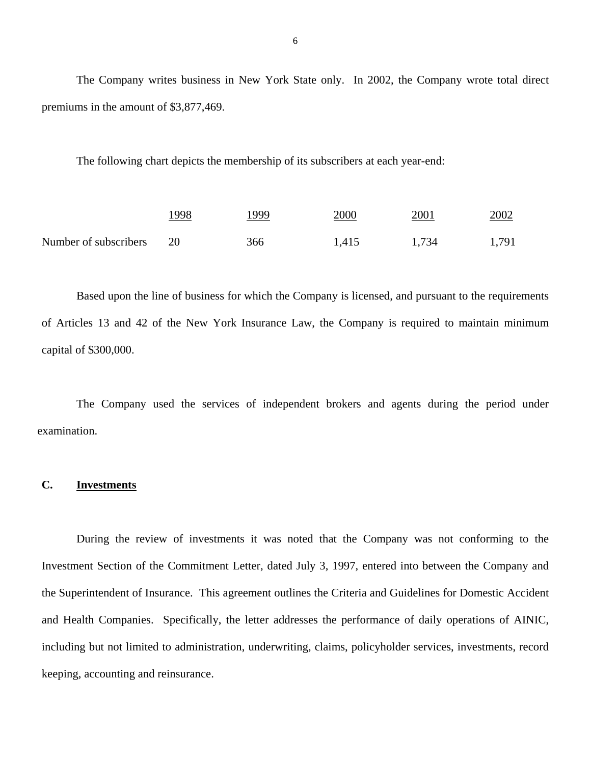<span id="page-7-0"></span>The Company writes business in New York State only. In 2002, the Company wrote total direct premiums in the amount of \$3,877,469.

The following chart depicts the membership of its subscribers at each year-end:

|                       | <u> 1998</u> | <u>999</u> | <u> 2000</u> | <u>2001</u> | 2002  |
|-----------------------|--------------|------------|--------------|-------------|-------|
| Number of subscribers | 20           | 366        | 1,415        | 1,734       | 1,791 |

Based upon the line of business for which the Company is licensed, and pursuant to the requirements of Articles 13 and 42 of the New York Insurance Law, the Company is required to maintain minimum capital of \$300,000.

The Company used the services of independent brokers and agents during the period under examination.

#### **C. Investments**

During the review of investments it was noted that the Company was not conforming to the Investment Section of the Commitment Letter, dated July 3, 1997, entered into between the Company and the Superintendent of Insurance. This agreement outlines the Criteria and Guidelines for Domestic Accident and Health Companies. Specifically, the letter addresses the performance of daily operations of AINIC, including but not limited to administration, underwriting, claims, policyholder services, investments, record keeping, accounting and reinsurance.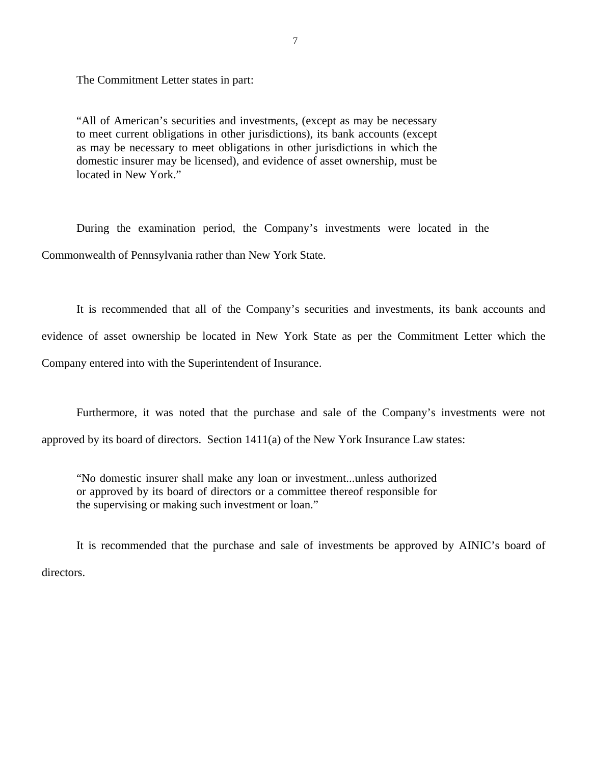The Commitment Letter states in part:

"All of American's securities and investments, (except as may be necessary to meet current obligations in other jurisdictions), its bank accounts (except as may be necessary to meet obligations in other jurisdictions in which the domestic insurer may be licensed), and evidence of asset ownership, must be located in New York."

During the examination period, the Company's investments were located in the Commonwealth of Pennsylvania rather than New York State.

It is recommended that all of the Company's securities and investments, its bank accounts and evidence of asset ownership be located in New York State as per the Commitment Letter which the Company entered into with the Superintendent of Insurance.

Furthermore, it was noted that the purchase and sale of the Company's investments were not approved by its board of directors. Section 1411(a) of the New York Insurance Law states:

"No domestic insurer shall make any loan or investment...unless authorized or approved by its board of directors or a committee thereof responsible for the supervising or making such investment or loan."

It is recommended that the purchase and sale of investments be approved by AINIC's board of directors.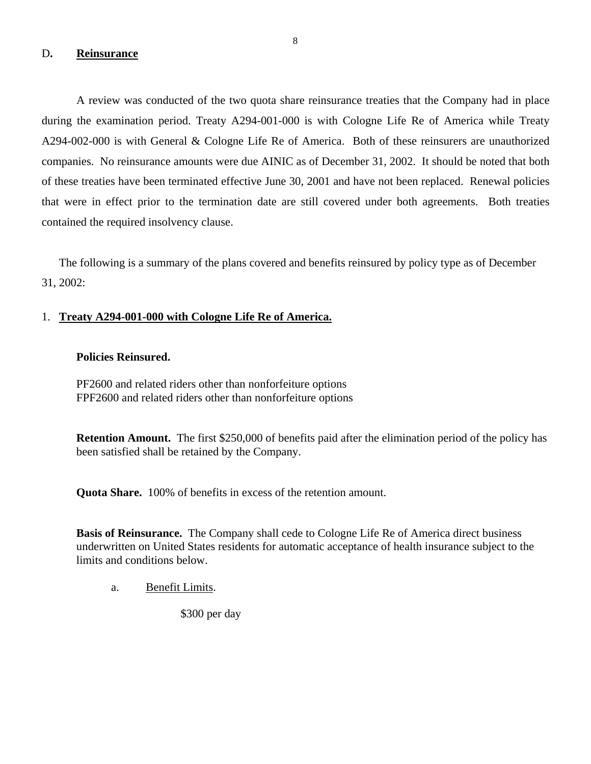#### <span id="page-9-0"></span>D**. Reinsurance**

A review was conducted of the two quota share reinsurance treaties that the Company had in place during the examination period. Treaty A294-001-000 is with Cologne Life Re of America while Treaty A294-002-000 is with General & Cologne Life Re of America. Both of these reinsurers are unauthorized companies. No reinsurance amounts were due AINIC as of December 31, 2002. It should be noted that both of these treaties have been terminated effective June 30, 2001 and have not been replaced. Renewal policies that were in effect prior to the termination date are still covered under both agreements. Both treaties contained the required insolvency clause.

The following is a summary of the plans covered and benefits reinsured by policy type as of December 31, 2002:

#### 1. **Treaty A294-001-000 with Cologne Life Re of America.**

#### **Policies Reinsured.**

PF2600 and related riders other than nonforfeiture options FPF2600 and related riders other than nonforfeiture options

**Retention Amount.** The first \$250,000 of benefits paid after the elimination period of the policy has been satisfied shall be retained by the Company.

**Quota Share.** 100% of benefits in excess of the retention amount.

**Basis of Reinsurance.** The Company shall cede to Cologne Life Re of America direct business underwritten on United States residents for automatic acceptance of health insurance subject to the limits and conditions below.

a. Benefit Limits.

\$300 per day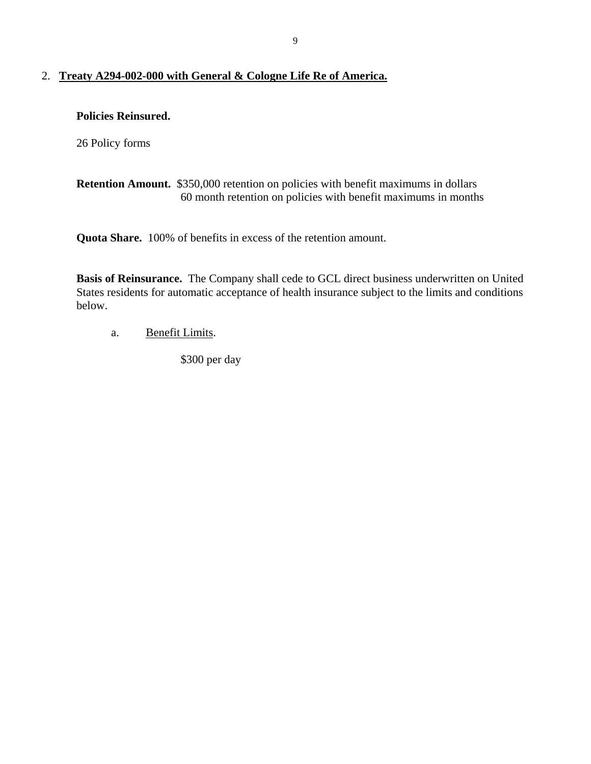# 2. **Treaty A294-002-000 with General & Cologne Life Re of America.**

### **Policies Reinsured.**

26 Policy forms

**Retention Amount.** \$350,000 retention on policies with benefit maximums in dollars 60 month retention on policies with benefit maximums in months

**Quota Share.** 100% of benefits in excess of the retention amount.

**Basis of Reinsurance.** The Company shall cede to GCL direct business underwritten on United States residents for automatic acceptance of health insurance subject to the limits and conditions below.

a. Benefit Limits.

\$300 per day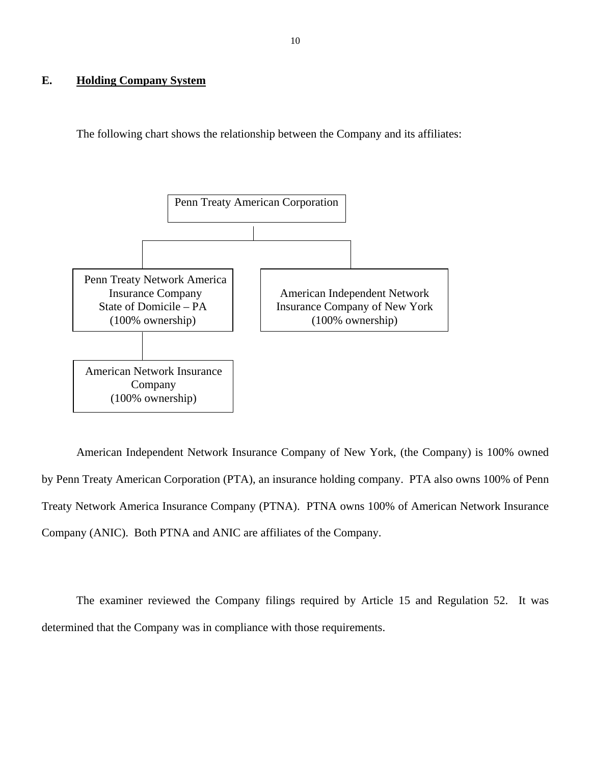#### <span id="page-11-0"></span>**E. Holding Company System**

The following chart shows the relationship between the Company and its affiliates:



American Independent Network Insurance Company of New York, (the Company) is 100% owned by Penn Treaty American Corporation (PTA), an insurance holding company. PTA also owns 100% of Penn Treaty Network America Insurance Company (PTNA). PTNA owns 100% of American Network Insurance Company (ANIC). Both PTNA and ANIC are affiliates of the Company.

The examiner reviewed the Company filings required by Article 15 and Regulation 52. It was determined that the Company was in compliance with those requirements.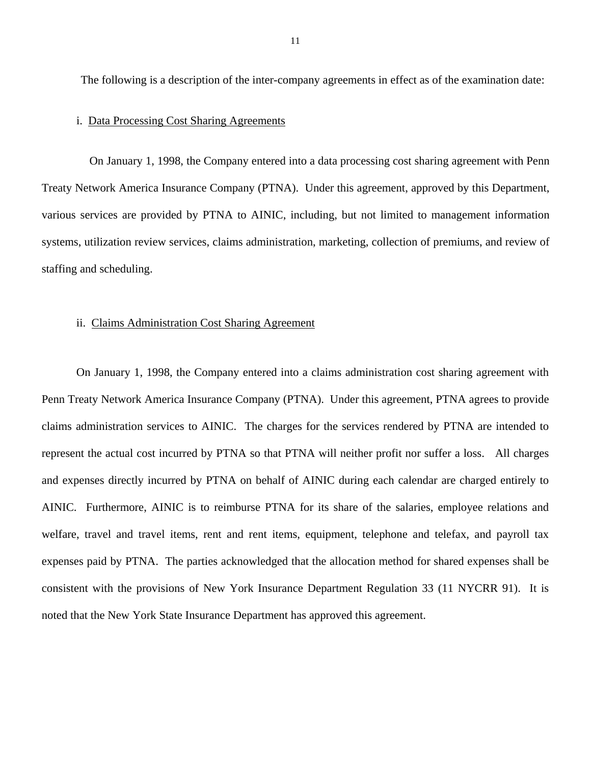The following is a description of the inter-company agreements in effect as of the examination date:

#### i. Data Processing Cost Sharing Agreements

On January 1, 1998, the Company entered into a data processing cost sharing agreement with Penn Treaty Network America Insurance Company (PTNA). Under this agreement, approved by this Department, various services are provided by PTNA to AINIC, including, but not limited to management information systems, utilization review services, claims administration, marketing, collection of premiums, and review of staffing and scheduling.

#### ii. Claims Administration Cost Sharing Agreement

On January 1, 1998, the Company entered into a claims administration cost sharing agreement with Penn Treaty Network America Insurance Company (PTNA). Under this agreement, PTNA agrees to provide claims administration services to AINIC. The charges for the services rendered by PTNA are intended to represent the actual cost incurred by PTNA so that PTNA will neither profit nor suffer a loss. All charges and expenses directly incurred by PTNA on behalf of AINIC during each calendar are charged entirely to AINIC. Furthermore, AINIC is to reimburse PTNA for its share of the salaries, employee relations and welfare, travel and travel items, rent and rent items, equipment, telephone and telefax, and payroll tax expenses paid by PTNA. The parties acknowledged that the allocation method for shared expenses shall be consistent with the provisions of New York Insurance Department Regulation 33 (11 NYCRR 91). It is noted that the New York State Insurance Department has approved this agreement.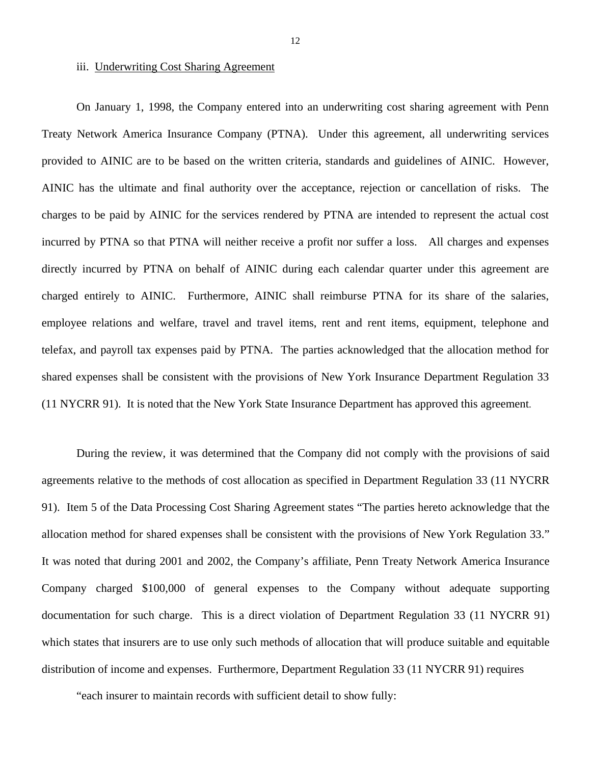#### iii. Underwriting Cost Sharing Agreement

On January 1, 1998, the Company entered into an underwriting cost sharing agreement with Penn Treaty Network America Insurance Company (PTNA). Under this agreement, all underwriting services provided to AINIC are to be based on the written criteria, standards and guidelines of AINIC. However, AINIC has the ultimate and final authority over the acceptance, rejection or cancellation of risks. The charges to be paid by AINIC for the services rendered by PTNA are intended to represent the actual cost incurred by PTNA so that PTNA will neither receive a profit nor suffer a loss. All charges and expenses directly incurred by PTNA on behalf of AINIC during each calendar quarter under this agreement are charged entirely to AINIC. Furthermore, AINIC shall reimburse PTNA for its share of the salaries, employee relations and welfare, travel and travel items, rent and rent items, equipment, telephone and telefax, and payroll tax expenses paid by PTNA. The parties acknowledged that the allocation method for shared expenses shall be consistent with the provisions of New York Insurance Department Regulation 33 (11 NYCRR 91). It is noted that the New York State Insurance Department has approved this agreement.

During the review, it was determined that the Company did not comply with the provisions of said agreements relative to the methods of cost allocation as specified in Department Regulation 33 (11 NYCRR 91). Item 5 of the Data Processing Cost Sharing Agreement states "The parties hereto acknowledge that the allocation method for shared expenses shall be consistent with the provisions of New York Regulation 33." It was noted that during 2001 and 2002, the Company's affiliate, Penn Treaty Network America Insurance Company charged \$100,000 of general expenses to the Company without adequate supporting documentation for such charge. This is a direct violation of Department Regulation 33 (11 NYCRR 91) which states that insurers are to use only such methods of allocation that will produce suitable and equitable distribution of income and expenses. Furthermore, Department Regulation 33 (11 NYCRR 91) requires

"each insurer to maintain records with sufficient detail to show fully: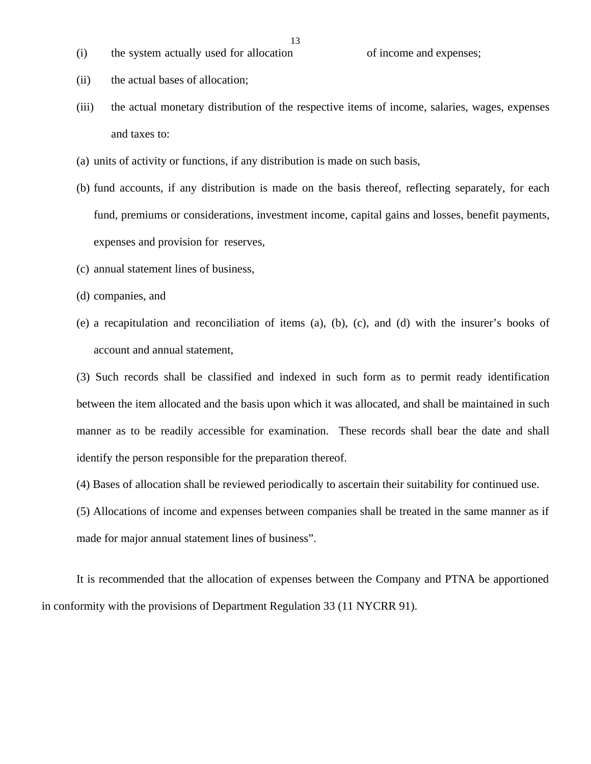13

- (i) the system actually used for allocation of income and expenses;
- (ii) the actual bases of allocation;
- (iii) the actual monetary distribution of the respective items of income, salaries, wages, expenses and taxes to:
- (a) units of activity or functions, if any distribution is made on such basis,
- (b) fund accounts, if any distribution is made on the basis thereof, reflecting separately, for each fund, premiums or considerations, investment income, capital gains and losses, benefit payments, expenses and provision for reserves,
- (c) annual statement lines of business,
- (d) companies, and
- (e) a recapitulation and reconciliation of items (a), (b), (c), and (d) with the insurer's books of account and annual statement,

(3) Such records shall be classified and indexed in such form as to permit ready identification between the item allocated and the basis upon which it was allocated, and shall be maintained in such manner as to be readily accessible for examination. These records shall bear the date and shall identify the person responsible for the preparation thereof.

(4) Bases of allocation shall be reviewed periodically to ascertain their suitability for continued use.

(5) Allocations of income and expenses between companies shall be treated in the same manner as if made for major annual statement lines of business".

It is recommended that the allocation of expenses between the Company and PTNA be apportioned in conformity with the provisions of Department Regulation 33 (11 NYCRR 91).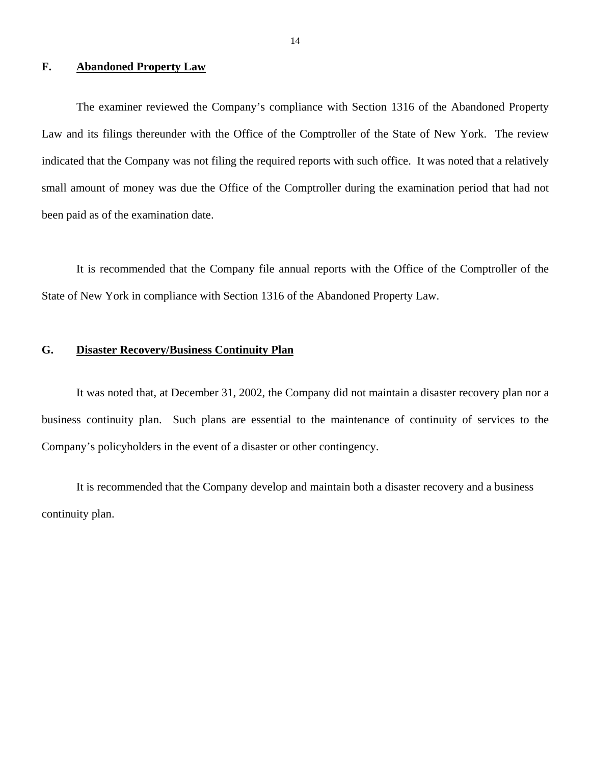#### <span id="page-15-0"></span>**F. Abandoned Property Law**

The examiner reviewed the Company's compliance with Section 1316 of the Abandoned Property Law and its filings thereunder with the Office of the Comptroller of the State of New York. The review indicated that the Company was not filing the required reports with such office. It was noted that a relatively small amount of money was due the Office of the Comptroller during the examination period that had not been paid as of the examination date.

It is recommended that the Company file annual reports with the Office of the Comptroller of the State of New York in compliance with Section 1316 of the Abandoned Property Law.

### **G. Disaster Recovery/Business Continuity Plan**

It was noted that, at December 31, 2002, the Company did not maintain a disaster recovery plan nor a business continuity plan. Such plans are essential to the maintenance of continuity of services to the Company's policyholders in the event of a disaster or other contingency.

It is recommended that the Company develop and maintain both a disaster recovery and a business continuity plan.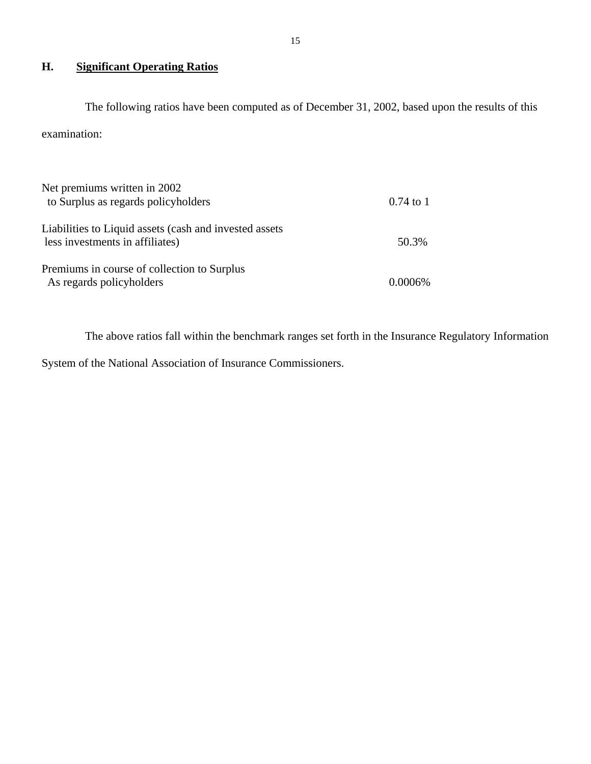# <span id="page-16-0"></span>**H. Significant Operating Ratios**

The following ratios have been computed as of December 31, 2002, based upon the results of this examination:

| Net premiums written in 2002<br>to Surplus as regards policyholders                        | $0.74 \text{ to } 1$ |
|--------------------------------------------------------------------------------------------|----------------------|
| Liabilities to Liquid assets (cash and invested assets)<br>less investments in affiliates) | 50.3%                |
| Premiums in course of collection to Surplus<br>As regards policyholders                    | $0.0006\%$           |

The above ratios fall within the benchmark ranges set forth in the Insurance Regulatory Information

System of the National Association of Insurance Commissioners.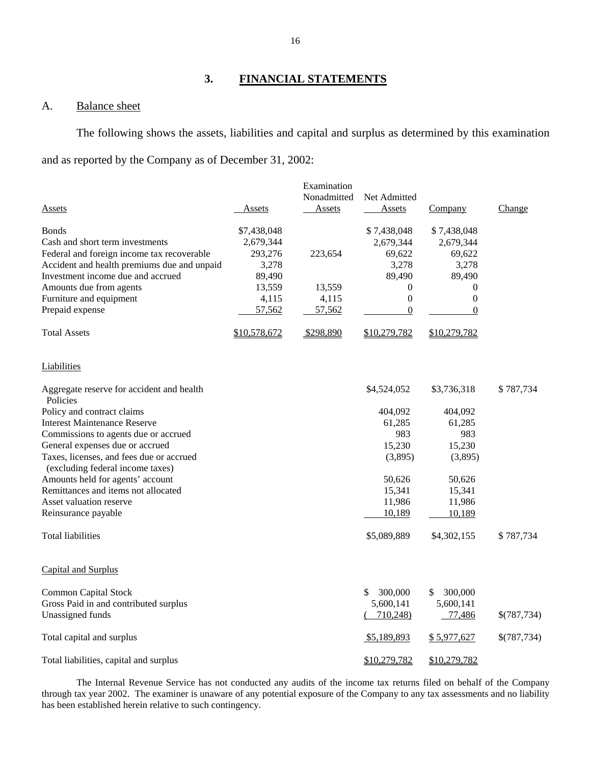# **3. FINANCIAL STATEMENTS**

# A. Balance sheet

The following shows the assets, liabilities and capital and surplus as determined by this examination and as reported by the Company as of December 31, 2002:

| <b>Assets</b>                                                                    | Assets           | Examination<br>Nonadmitted<br>Assets | Net Admitted<br>Assets | <b>Company</b>   | Change      |
|----------------------------------------------------------------------------------|------------------|--------------------------------------|------------------------|------------------|-------------|
| <b>Bonds</b>                                                                     | \$7,438,048      |                                      | \$7,438,048            | \$7,438,048      |             |
| Cash and short term investments                                                  | 2,679,344        |                                      | 2,679,344              | 2,679,344        |             |
| Federal and foreign income tax recoverable                                       | 293,276<br>3,278 | 223,654                              | 69,622<br>3,278        | 69,622<br>3,278  |             |
| Accident and health premiums due and unpaid<br>Investment income due and accrued | 89,490           |                                      | 89,490                 | 89,490           |             |
| Amounts due from agents                                                          | 13,559           | 13,559                               | 0                      | $\theta$         |             |
| Furniture and equipment                                                          | 4,115            | 4,115                                | 0                      | $\boldsymbol{0}$ |             |
| Prepaid expense                                                                  | 57,562           | 57,562                               | 0                      | $\overline{0}$   |             |
|                                                                                  |                  |                                      |                        |                  |             |
| <b>Total Assets</b>                                                              | \$10,578,672     | \$298,890                            | \$10,279,782           | \$10,279,782     |             |
| Liabilities                                                                      |                  |                                      |                        |                  |             |
| Aggregate reserve for accident and health<br>Policies                            |                  |                                      | \$4,524,052            | \$3,736,318      | \$787,734   |
| Policy and contract claims                                                       |                  |                                      | 404,092                | 404,092          |             |
| <b>Interest Maintenance Reserve</b>                                              |                  |                                      | 61,285                 | 61,285           |             |
| Commissions to agents due or accrued                                             |                  |                                      | 983                    | 983              |             |
| General expenses due or accrued                                                  |                  |                                      | 15,230                 | 15,230           |             |
| Taxes, licenses, and fees due or accrued<br>(excluding federal income taxes)     |                  |                                      | (3,895)                | (3,895)          |             |
| Amounts held for agents' account                                                 |                  |                                      | 50,626                 | 50,626           |             |
| Remittances and items not allocated                                              |                  |                                      | 15,341                 | 15,341           |             |
| Asset valuation reserve                                                          |                  |                                      | 11,986                 | 11,986           |             |
| Reinsurance payable                                                              |                  |                                      | 10,189                 | 10,189           |             |
| <b>Total liabilities</b>                                                         |                  |                                      | \$5,089,889            | \$4,302,155      | \$787,734   |
| Capital and Surplus                                                              |                  |                                      |                        |                  |             |
| <b>Common Capital Stock</b>                                                      |                  |                                      | \$<br>300,000          | 300,000<br>\$    |             |
| Gross Paid in and contributed surplus                                            |                  |                                      | 5,600,141              | 5,600,141        |             |
| Unassigned funds                                                                 |                  |                                      | 710,248)               | 77,486           | \$(787,734) |
| Total capital and surplus                                                        |                  |                                      | \$5,189,893            | \$5,977,627      | \$(787,734) |
| Total liabilities, capital and surplus                                           |                  |                                      | \$10,279,782           | \$10,279,782     |             |

The Internal Revenue Service has not conducted any audits of the income tax returns filed on behalf of the Company through tax year 2002. The examiner is unaware of any potential exposure of the Company to any tax assessments and no liability has been established herein relative to such contingency.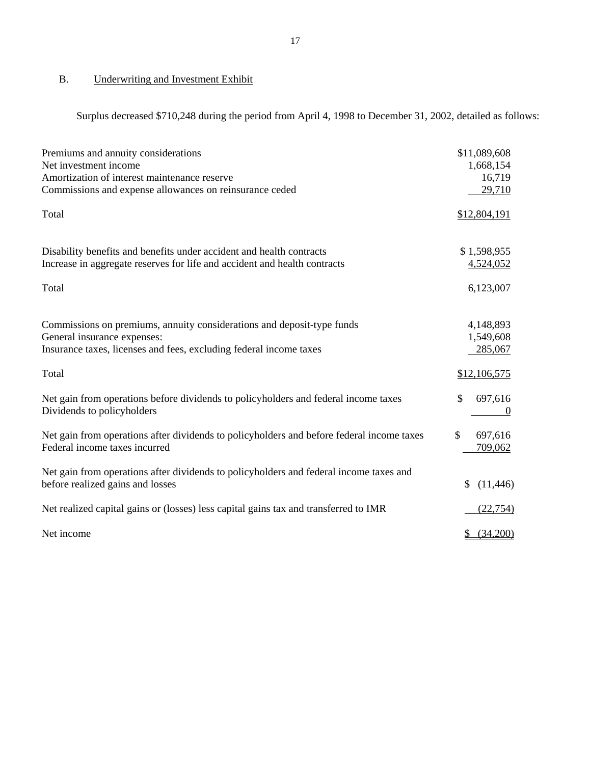# B. Underwriting and Investment Exhibit

Surplus decreased \$710,248 during the period from April 4, 1998 to December 31, 2002, detailed as follows:

| Premiums and annuity considerations<br>Net investment income<br>Amortization of interest maintenance reserve<br>Commissions and expense allowances on reinsurance ceded     | \$11,089,608<br>1,668,154<br>16,719<br>29,710 |
|-----------------------------------------------------------------------------------------------------------------------------------------------------------------------------|-----------------------------------------------|
| Total                                                                                                                                                                       | \$12,804,191                                  |
| Disability benefits and benefits under accident and health contracts<br>Increase in aggregate reserves for life and accident and health contracts                           | \$1,598,955<br>4,524,052                      |
| Total                                                                                                                                                                       | 6,123,007                                     |
| Commissions on premiums, annuity considerations and deposit-type funds<br>General insurance expenses:<br>Insurance taxes, licenses and fees, excluding federal income taxes | 4,148,893<br>1,549,608<br>285,067             |
| Total                                                                                                                                                                       | \$12,106,575                                  |
| Net gain from operations before dividends to policyholders and federal income taxes<br>Dividends to policyholders                                                           | \$<br>697,616<br>$\theta$                     |
| Net gain from operations after dividends to policyholders and before federal income taxes<br>Federal income taxes incurred                                                  | \$<br>697,616<br>709,062                      |
| Net gain from operations after dividends to policyholders and federal income taxes and<br>before realized gains and losses                                                  | (11, 446)<br>\$                               |
| Net realized capital gains or (losses) less capital gains tax and transferred to IMR                                                                                        | (22, 754)                                     |
| Net income                                                                                                                                                                  | \$ (34,200)                                   |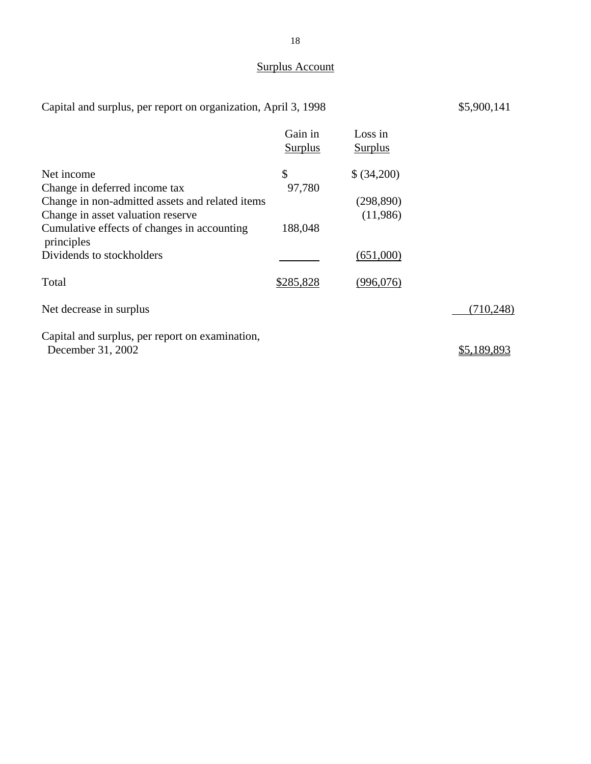# Surplus Account

| Capital and surplus, per report on organization, April 3, 1998                                 |                           |                           |             |
|------------------------------------------------------------------------------------------------|---------------------------|---------------------------|-------------|
|                                                                                                | Gain in<br><b>Surplus</b> | Loss in<br><b>Surplus</b> |             |
| Net income<br>Change in deferred income tax<br>Change in non-admitted assets and related items | \$<br>97,780              | \$(34,200)<br>(298, 890)  |             |
| Change in asset valuation reserve<br>Cumulative effects of changes in accounting<br>principles | 188,048                   | (11,986)                  |             |
| Dividends to stockholders                                                                      |                           | (651,000)                 |             |
| Total                                                                                          | \$285,828                 | (996,076)                 |             |
| Net decrease in surplus                                                                        |                           |                           | (710, 248)  |
| Capital and surplus, per report on examination,<br>December 31, 2002                           |                           |                           | \$5,189,893 |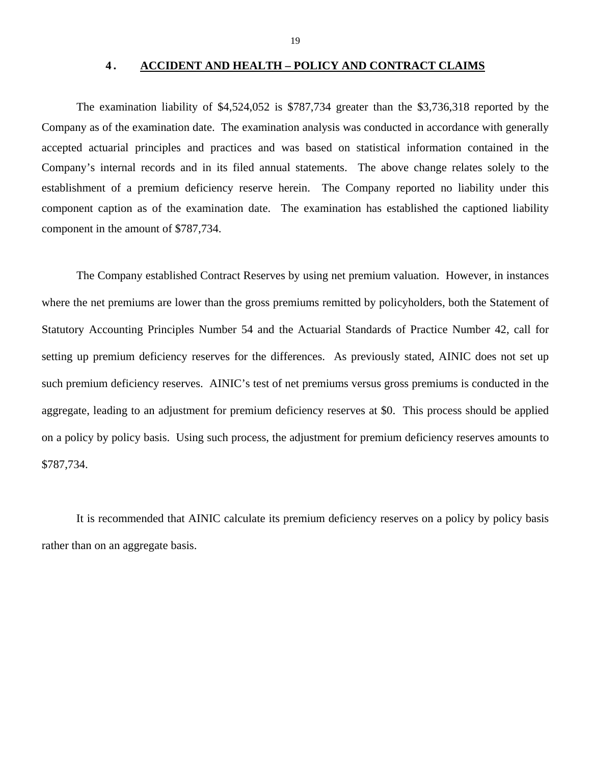#### **4. ACCIDENT AND HEALTH – POLICY AND CONTRACT CLAIMS**

<span id="page-20-0"></span>The examination liability of \$4,524,052 is \$787,734 greater than the \$3,736,318 reported by the Company as of the examination date. The examination analysis was conducted in accordance with generally accepted actuarial principles and practices and was based on statistical information contained in the Company's internal records and in its filed annual statements. The above change relates solely to the establishment of a premium deficiency reserve herein. The Company reported no liability under this component caption as of the examination date. The examination has established the captioned liability component in the amount of \$787,734.

The Company established Contract Reserves by using net premium valuation. However, in instances where the net premiums are lower than the gross premiums remitted by policyholders, both the Statement of Statutory Accounting Principles Number 54 and the Actuarial Standards of Practice Number 42, call for setting up premium deficiency reserves for the differences. As previously stated, AINIC does not set up such premium deficiency reserves. AINIC's test of net premiums versus gross premiums is conducted in the aggregate, leading to an adjustment for premium deficiency reserves at \$0. This process should be applied on a policy by policy basis. Using such process, the adjustment for premium deficiency reserves amounts to \$787,734.

It is recommended that AINIC calculate its premium deficiency reserves on a policy by policy basis rather than on an aggregate basis.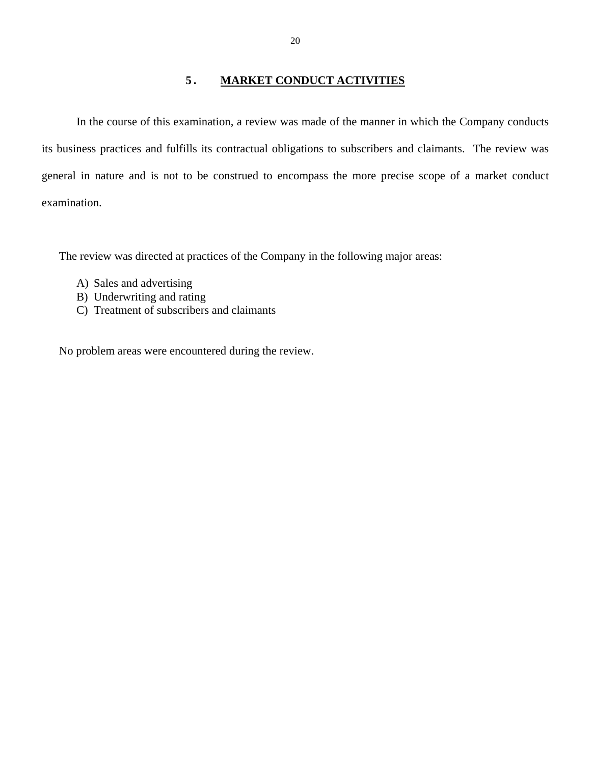# **5. MARKET CONDUCT ACTIVITIES**

<span id="page-21-0"></span>In the course of this examination, a review was made of the manner in which the Company conducts its business practices and fulfills its contractual obligations to subscribers and claimants. The review was general in nature and is not to be construed to encompass the more precise scope of a market conduct examination.

The review was directed at practices of the Company in the following major areas:

- A) Sales and advertising
- B) Underwriting and rating
- C) Treatment of subscribers and claimants

No problem areas were encountered during the review.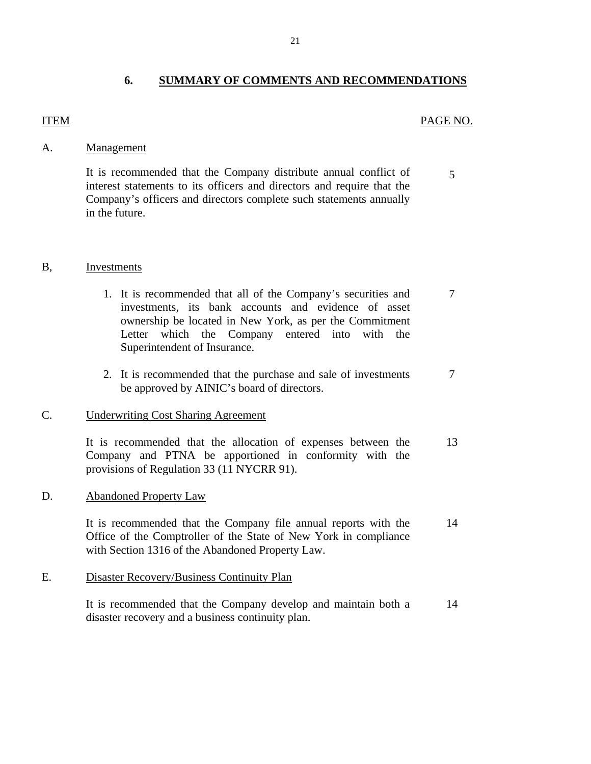# **6. SUMMARY OF COMMENTS AND RECOMMENDATIONS**

#### <span id="page-22-0"></span>**ITEM**

#### PAGE NO.

#### A. Management

It is recommended that the Company distribute annual conflict of 5 interest statements to its officers and directors and require that the Company's officers and directors complete such statements annually in the future.

#### B, Investments

- 1. It is recommended that all of the Company's securities and  $\overline{7}$ investments, its bank accounts and evidence of asset ownership be located in New York, as per the Commitment Letter which the Company entered into with the Superintendent of Insurance.
- 2. It is recommended that the purchase and sale of investments  $\frac{7}{10}$ be approved by AINIC's board of directors.

#### **Underwriting Cost Sharing Agreement**

C. Underwriting Cost Sharing Agreement<br>It is recommended that the allocation of expenses between the 13 Company and PTNA be apportioned in conformity with the provisions of Regulation 33 (11 NYCRR 91).

### D. Abandoned Property Law

It is recommended that the Company file annual reports with the 14 Office of the Comptroller of the State of New York in compliance with Section 1316 of the Abandoned Property Law.

#### E. Disaster Recovery/Business Continuity Plan

It is recommended that the Company develop and maintain both a 14 disaster recovery and a business continuity plan.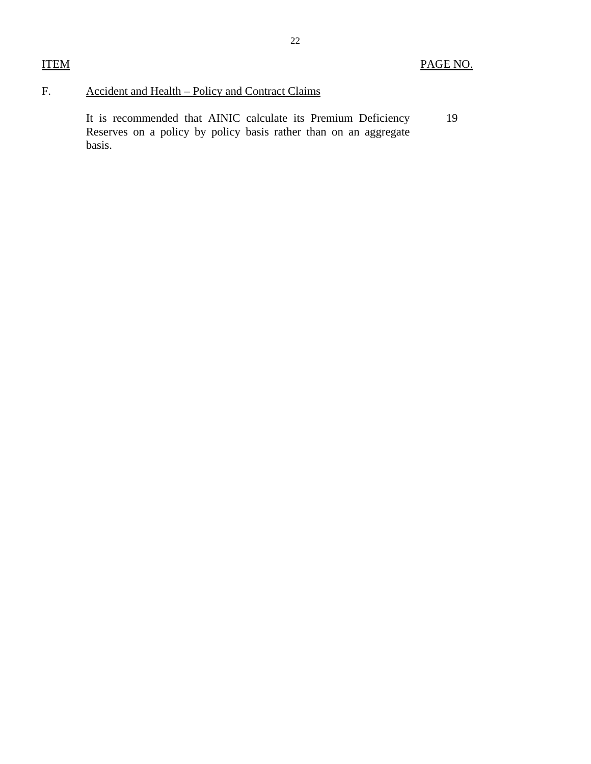# F. Accident and Health – Policy and Contract Claims

19 It is recommended that AINIC calculate its Premium Deficiency Reserves on a policy by policy basis rather than on an aggregate basis.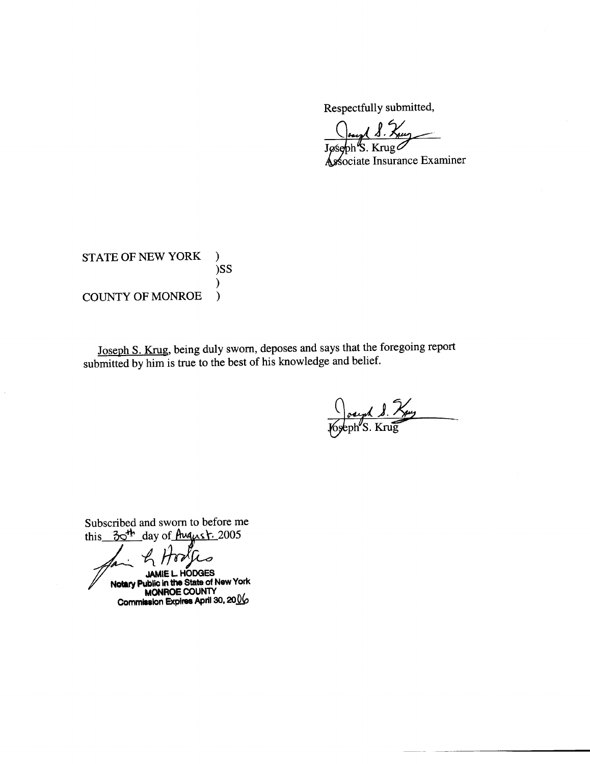Respectfully submitted,

Jøsebh $^{\prime\prime}$ S. Krug $\varnothing$ 

ssociate Insurance Examiner

**STATE OF NEW YORK**  $\lambda$  $)$ SS  $\mathcal{E}$ **COUNTY OF MONROE**  $\mathcal{Y}$ 

Joseph S. Krug, being duly sworn, deposes and says that the foregoing report submitted by him is true to the best of his knowledge and belief.

Subscribed and sworn to before me this  $30^{4h}$  day of August. 2005

**JAMIE L. HODGES** 

Notary Public in the State of New York MONROE COUNTY<br>Commission Expires April 30, 2016